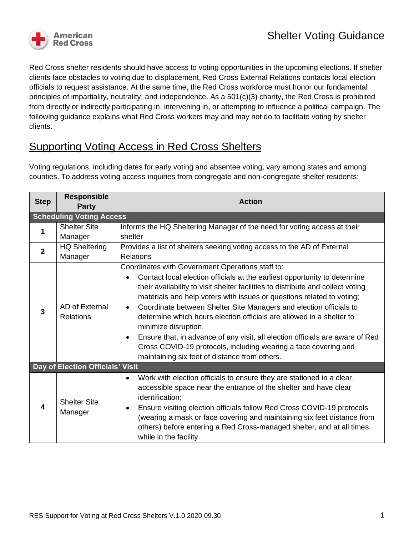

Red Cross shelter residents should have access to voting opportunities in the upcoming elections. If shelter clients face obstacles to voting due to displacement, Red Cross External Relations contacts local election officials to request assistance. At the same time, the Red Cross workforce must honor our fundamental principles of impartiality, neutrality, and independence. As a 501(c)(3) charity, the Red Cross is prohibited from directly or indirectly participating in, intervening in, or attempting to influence a political campaign. The following guidance explains what Red Cross workers may and may not do to facilitate voting by shelter clients.

# Supporting Voting Access in Red Cross Shelters

Voting regulations, including dates for early voting and absentee voting, vary among states and among counties. To address voting access inquiries from congregate and non-congregate shelter residents:

| <b>Step</b>                      | <b>Responsible</b><br><b>Party</b> | <b>Action</b>                                                                                                                                                                                                                                                                                                                                                                                                                                                                                                                                                 |
|----------------------------------|------------------------------------|---------------------------------------------------------------------------------------------------------------------------------------------------------------------------------------------------------------------------------------------------------------------------------------------------------------------------------------------------------------------------------------------------------------------------------------------------------------------------------------------------------------------------------------------------------------|
| <b>Scheduling Voting Access</b>  |                                    |                                                                                                                                                                                                                                                                                                                                                                                                                                                                                                                                                               |
| 1                                | <b>Shelter Site</b>                | Informs the HQ Sheltering Manager of the need for voting access at their                                                                                                                                                                                                                                                                                                                                                                                                                                                                                      |
|                                  | Manager                            | shelter                                                                                                                                                                                                                                                                                                                                                                                                                                                                                                                                                       |
| $\mathbf{2}$                     | <b>HQ Sheltering</b>               | Provides a list of shelters seeking voting access to the AD of External                                                                                                                                                                                                                                                                                                                                                                                                                                                                                       |
|                                  | Manager                            | <b>Relations</b>                                                                                                                                                                                                                                                                                                                                                                                                                                                                                                                                              |
| 3                                |                                    | Coordinates with Government Operations staff to:<br>Contact local election officials at the earliest opportunity to determine                                                                                                                                                                                                                                                                                                                                                                                                                                 |
|                                  | AD of External<br><b>Relations</b> | their availability to visit shelter facilities to distribute and collect voting<br>materials and help voters with issues or questions related to voting;<br>Coordinate between Shelter Site Managers and election officials to<br>$\bullet$<br>determine which hours election officials are allowed in a shelter to<br>minimize disruption.<br>Ensure that, in advance of any visit, all election officials are aware of Red<br>$\bullet$<br>Cross COVID-19 protocols, including wearing a face covering and<br>maintaining six feet of distance from others. |
| Day of Election Officials' Visit |                                    |                                                                                                                                                                                                                                                                                                                                                                                                                                                                                                                                                               |
| 4                                | <b>Shelter Site</b><br>Manager     | Work with election officials to ensure they are stationed in a clear,<br>$\bullet$<br>accessible space near the entrance of the shelter and have clear<br>identification;<br>Ensure visiting election officials follow Red Cross COVID-19 protocols<br>$\bullet$<br>(wearing a mask or face covering and maintaining six feet distance from<br>others) before entering a Red Cross-managed shelter, and at all times<br>while in the facility.                                                                                                                |